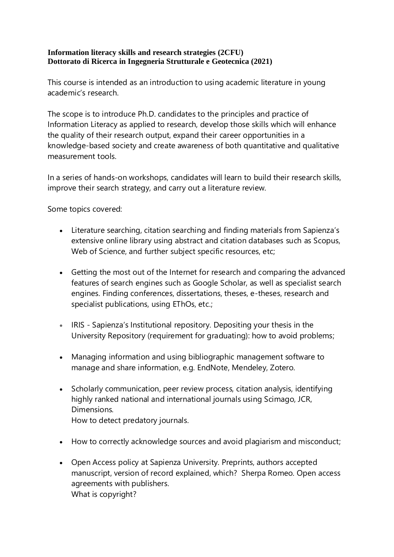## **Information literacy skills and research strategies (2CFU) Dottorato di Ricerca in Ingegneria Strutturale e Geotecnica (2021)**

This course is intended as an introduction to using academic literature in young academic's research.

The scope is to introduce Ph.D. candidates to the principles and practice of Information Literacy as applied to research, develop those skills which will enhance the quality of their research output, expand their career opportunities in a knowledge-based society and create awareness of both quantitative and qualitative measurement tools.

In a series of hands-on workshops, candidates will learn to build their research skills, improve their search strategy, and carry out a literature review.

Some topics covered:

- Literature searching, citation searching and finding materials from Sapienza's extensive online library using abstract and citation databases such as Scopus, Web of Science, and further subject specific resources, etc;
- Getting the most out of the Internet for research and comparing the advanced features of search engines such as Google Scholar, as well as specialist search engines. Finding conferences, dissertations, theses, e-theses, research and specialist publications, using EThOs, etc.;
- IRIS Sapienza's Institutional repository. Depositing your thesis in the University Repository (requirement for graduating): how to avoid problems;
- Managing information and using bibliographic management software to manage and share information, e.g. EndNote, Mendeley, Zotero.
- Scholarly communication, peer review process, citation analysis, identifying highly ranked national and international journals using Scimago, JCR, Dimensions. How to detect predatory journals.
- How to correctly acknowledge sources and avoid plagiarism and misconduct;
- Open Access policy at Sapienza University. Preprints, authors accepted manuscript, version of record explained, which? Sherpa Romeo. Open access agreements with publishers. What is copyright?